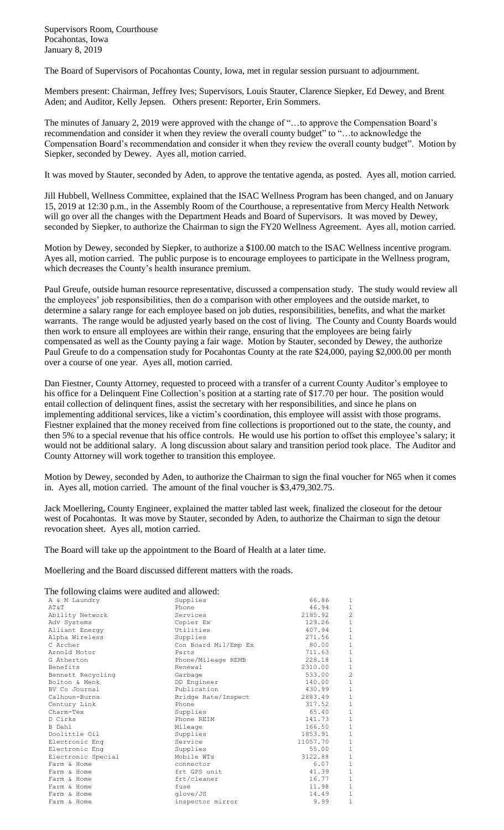Supervisors Room, Courthouse Pocahontas, Iowa January 8, 2019

The Board of Supervisors of Pocahontas County, Iowa, met in regular session pursuant to adjournment.

Members present: Chairman, Jeffrey Ives; Supervisors, Louis Stauter, Clarence Siepker, Ed Dewey, and Brent Aden; and Auditor, Kelly Jepsen. Others present: Reporter, Erin Sommers.

The minutes of January 2, 2019 were approved with the change of "…to approve the Compensation Board's recommendation and consider it when they review the overall county budget" to "…to acknowledge the Compensation Board's recommendation and consider it when they review the overall county budget". Motion by Siepker, seconded by Dewey. Ayes all, motion carried.

It was moved by Stauter, seconded by Aden, to approve the tentative agenda, as posted. Ayes all, motion carried.

Jill Hubbell, Wellness Committee, explained that the ISAC Wellness Program has been changed, and on January 15, 2019 at 12:30 p.m., in the Assembly Room of the Courthouse, a representative from Mercy Health Network will go over all the changes with the Department Heads and Board of Supervisors. It was moved by Dewey, seconded by Siepker, to authorize the Chairman to sign the FY20 Wellness Agreement. Ayes all, motion carried.

Motion by Dewey, seconded by Siepker, to authorize a \$100.00 match to the ISAC Wellness incentive program. Ayes all, motion carried. The public purpose is to encourage employees to participate in the Wellness program, which decreases the County's health insurance premium.

Paul Greufe, outside human resource representative, discussed a compensation study. The study would review all the employees' job responsibilities, then do a comparison with other employees and the outside market, to determine a salary range for each employee based on job duties, responsibilities, benefits, and what the market warrants. The range would be adjusted yearly based on the cost of living. The County and County Boards would then work to ensure all employees are within their range, ensuring that the employees are being fairly compensated as well as the County paying a fair wage. Motion by Stauter, seconded by Dewey, the authorize Paul Greufe to do a compensation study for Pocahontas County at the rate \$24,000, paying \$2,000.00 per month over a course of one year. Ayes all, motion carried.

Dan Fiestner, County Attorney, requested to proceed with a transfer of a current County Auditor's employee to his office for a Delinquent Fine Collection's position at a starting rate of \$17.70 per hour. The position would entail collection of delinquent fines, assist the secretary with her responsibilities, and since he plans on implementing additional services, like a victim's coordination, this employee will assist with those programs. Fiestner explained that the money received from fine collections is proportioned out to the state, the county, and then 5% to a special revenue that his office controls. He would use his portion to offset this employee's salary; it would not be additional salary. A long discussion about salary and transition period took place. The Auditor and County Attorney will work together to transition this employee.

Motion by Dewey, seconded by Aden, to authorize the Chairman to sign the final voucher for N65 when it comes in. Ayes all, motion carried. The amount of the final voucher is \$3,479,302.75.

Jack Moellering, County Engineer, explained the matter tabled last week, finalized the closeout for the detour west of Pocahontas. It was move by Stauter, seconded by Aden, to authorize the Chairman to sign the detour revocation sheet. Ayes all, motion carried.

The Board will take up the appointment to the Board of Health at a later time.

Moellering and the Board discussed different matters with the roads.

## The following claims were audited and allowed:

| The following claims were audited and allowed: |                      |          |                |
|------------------------------------------------|----------------------|----------|----------------|
| A & M Laundry                                  | Supplies             | 66.86    | 1              |
| AT&T                                           | Phone                | 46.94    | $\mathbf{1}$   |
| Ability Network                                | Services             | 2185.92  | $\overline{c}$ |
| Adv Systems                                    | Copier Ex            | 129.26   | $\,1\,$        |
| Alliant Energy                                 | Utilities            | 407.94   | $\,1\,$        |
| Alpha Wireless                                 | Supplies             | 271.56   | $1\,$          |
| C Archer                                       | Con Board Mil/Emp Ex | 80.00    | $\,1\,$        |
| Arnold Motor                                   | Parts                | 711.63   | $\mathbf 1$    |
| G Atherton                                     | Phone/Mileage REMB   | 228.18   | $\mathbf{1}$   |
| Benefits                                       | Renewal              | 2310.00  | $\mathbf{1}$   |
| Bennett Recycling                              | Garbage              | 533.00   | $\overline{c}$ |
| Bolton & Menk                                  | DD Engineer          | 140.00   | $\,1\,$        |
| BV Co Journal                                  | Publication          | 430.99   | $\overline{1}$ |
| Calhoun-Burns                                  | Bridge Rate/Inspect  | 2883.49  | $\mathbf 1$    |
| Century Link                                   | Phone                | 317.52   | $\mathbf 1$    |
| Charm-Tex                                      | Supplies             | 65.40    | $\overline{1}$ |
| D Cirks                                        | Phone REIM           | 141.73   | $\,1\,$        |
| B Dahl                                         | Mileage              | 166.50   | $\,1\,$        |
| Doolittle Oil                                  | Supplies             | 1853.91  | $\overline{1}$ |
| Electronic Eng                                 | Service              | 11057.70 | $\,1\,$        |
| Electronic Eng                                 | Supplies             | 55.00    | $\,1\,$        |
| Electronic Special                             | Mobile WTs           | 3122.88  | $\,1\,$        |
| Farm & Home                                    | connector            | 6.07     | $\overline{1}$ |
| Farm & Home                                    | frt GPS unit         | 41.39    | $\mathbf 1$    |
| Farm & Home                                    | frt/cleaner          | 16.77    | $\,1\,$        |
| Farm & Home                                    | fuse                 | 11.98    | $\mathbf 1$    |
| Farm & Home                                    | glove/JS             | 14.49    | $1\,$          |
| Farm & Home                                    | inspector mirror     | 9.99     | $\mathbf{1}$   |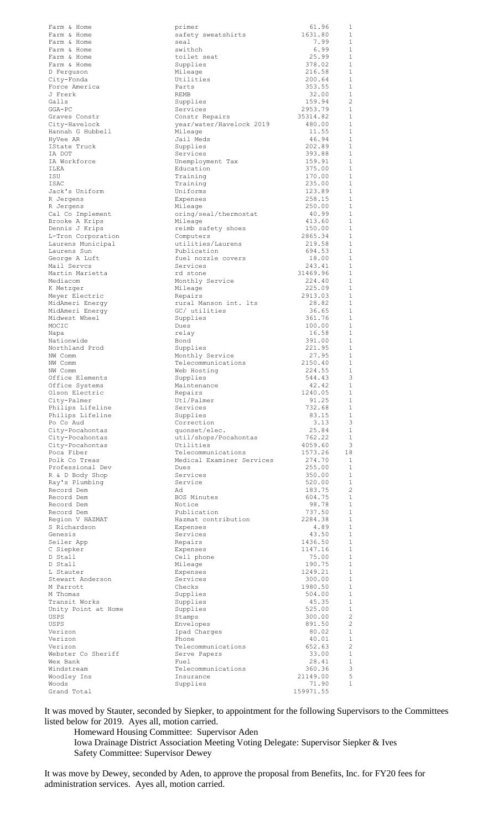| Farm & Home         | primer                    | 61.96     | 1                 |
|---------------------|---------------------------|-----------|-------------------|
| Farm & Home         | safety sweatshirts        | 1631.80   | $\mathbf{1}$      |
| Farm & Home         | seal                      | 7.99      | $\mathbf{1}$      |
| Farm & Home         | swithch                   | 6.99      | 1                 |
| Farm & Home         | toilet seat               | 25.99     | $\mathbf{1}$      |
| Farm & Home         | Supplies                  | 378.02    | $\mathbf{1}$      |
| D Ferquson          | Mileage                   | 216.58    | $\mathbf{1}$      |
| City-Fonda          | Utilities                 | 200.64    | 1                 |
| Force America       | Parts                     | 353.55    | $\mathbf 1$       |
|                     |                           |           | $\mathbf 1$       |
| J Frerk             | REMB                      | 32.00     |                   |
| Galls               | Supplies                  | 159.94    | $\overline{c}$    |
| $GGA-PC$            | Services                  | 2953.79   | 1                 |
| Graves Constr       | Constr Repairs            | 35314.82  | $\mathbf{1}$      |
| City-Havelock       | year/water/Havelock 2019  | 480.00    | 1                 |
| Hannah G Hubbell    | Mileage                   | 11.55     | 1                 |
| HyVee AR            | Jail Meds                 | 46.94     | 1                 |
| IState Truck        | Supplies                  | 202.89    | $\mathbf{1}$      |
| IA DOT              | Services                  | 393.88    | 1                 |
| IA Workforce        | Unemployment Tax          | 159.91    | $\mathbf{1}$      |
| ILEA                | Education                 | 375.00    | 1                 |
| ISU                 | Training                  | 170.00    | $\mathbf{1}$      |
| ISAC                | Training                  | 235.00    | 1                 |
| Jack's Uniform      | Uniforms                  | 123.89    | $\mathbf{1}$      |
| R Jergens           | Expenses                  | 258.15    | $\mathbf{1}$      |
| R Jergens           | Mileage                   | 250.00    | $\mathbf{1}$      |
| Cal Co Implement    | oring/seal/thermostat     | 40.99     | $\mathbf{1}$      |
| Brooke A Krips      | Mileage                   | 413.60    | $\mathbf{1}$      |
|                     |                           | 150.00    | $\mathbf{1}$      |
| Dennis J Krips      | reimb safety shoes        | 2865.34   | $\mathbf{1}$      |
| L-Tron Corporation  | Computers                 |           |                   |
| Laurens Municipal   | utilities/Laurens         | 219.58    | $\mathbf{1}$      |
| Laurens Sun         | Publication               | 694.53    | 1                 |
| George A Luft       | fuel nozzle covers        | 18.00     | 1                 |
| Mail Servcs         | Services                  | 243.41    | 1                 |
| Martin Marietta     | rd stone                  | 31469.96  | 1                 |
| Mediacom            | Monthly Service           | 224.40    | 1                 |
| K Metzger           | Mileage                   | 225.09    | $\mathbf{1}$      |
| Meyer Electric      | Repairs                   | 2913.03   | 1                 |
| MidAmeri Energy     | rural Manson int. lts     | 28.82     | 1                 |
| MidAmeri Energy     | GC/ utilities             | 36.65     | 1                 |
| Midwest Wheel       | Supplies                  | 361.76    | $\mathbf{1}$      |
| MOCIC               | Dues                      | 100.00    | 1                 |
| Napa                | relay                     | 16.58     | $\mathbf{1}$      |
| Nationwide          | Bond                      | 391.00    | 1                 |
| Northland Prod      | Supplies                  | 221.95    | $\mathbf{1}$      |
| NW Comm             | Monthly Service           | 27.95     | 1                 |
| NW Comm             |                           | 2150.40   | $\mathbf{1}$      |
|                     | Telecommunications        | 224.55    | 1                 |
| NW Comm             | Web Hosting               |           |                   |
| Office Elements     | Supplies                  | 544.43    | 3                 |
| Office Systems      | Maintenance               | 42.42     | 1                 |
| Olson Electric      | Repairs                   | 1240.05   | $\overline{1}$    |
| City-Palmer         | Utl/Palmer                | 91.25     | 1                 |
| Philips Lifeline    | Services                  | 732.68    | $\mathbf{1}$      |
| Philips Lifeline    | Supplies                  | 83.15     | 1                 |
| Po Co Aud           | Correction                | 3.13      | 3                 |
| City-Pocahontas     | quonset/elec.             | 25.84     | 1                 |
| City-Pocahontas     | util/shops/Pocahontas     | 762.22    | $\mathbf{1}$      |
| City-Pocahontas     | Utilities                 | 4059.60   | 3                 |
| Poca Fiber          | Telecommunications        | 1573.26   | 18                |
| Polk Co Treas       | Medical Examiner Services | 274.70    | 1                 |
| Professional Dev    | Dues                      | 255.00    | 1                 |
| R & D Body Shop     | Services                  | 350.00    | 1                 |
| Ray's Plumbing      | Service                   | 520.00    | 1                 |
| Record Dem          | Ad                        | 183.75    | $\overline{c}$    |
| Record Dem          | BOS Minutes               | 604.75    | 1                 |
| Record Dem          | Notice                    | 98.78     | 1                 |
| Record Dem          | Publication               | 737.50    | $\mathbf{1}$      |
| Region V HAZMAT     | Hazmat contribution       | 2284.38   | 1                 |
| S Richardson        | Expenses                  | 4.89      | 1                 |
| Genesis             | Services                  | 43.50     | $\mathbf{1}$      |
| Seiler App          | Repairs                   | 1436.50   | $\mathbf{1}$      |
| C Siepker           | Expenses                  | 1147.16   | $\mathbf 1$       |
| D Stall             | Cell phone                | 75.00     | $\mathbf{1}$      |
| D Stall             | Mileage                   | 190.75    | $\mathbf{1}$      |
|                     |                           |           | $\mathbf{1}$      |
| L Stauter           | Expenses<br>Services      | 1249.21   | $\mathbf{1}$      |
| Stewart Anderson    |                           | 300.00    |                   |
| M Parrott           | Checks                    | 1980.50   | 1<br>$\mathbf{1}$ |
| M Thomas            | Supplies                  | 504.00    |                   |
| Transit Works       | Supplies                  | 45.35     | 1                 |
| Unity Point at Home | Supplies                  | 525.00    | 1                 |
| USPS                | Stamps                    | 300.00    | 2                 |
| USPS                | Envelopes                 | 891.50    | $\overline{c}$    |
| Verizon             | Ipad Charges              | 80.02     | 1                 |
| Verizon             | Phone                     | 40.01     | 1                 |
| Verizon             | Telecommunications        | 652.63    | 2                 |
| Webster Co Sheriff  | Serve Papers              | 33.00     | $\mathbf{1}$      |
| Wex Bank            | Fuel                      | 28.41     | 1                 |
| Windstream          | Telecommunications        | 360.36    | 3                 |
| Woodley Ins         | Insurance                 | 21149.00  | 5                 |
| Woods               | Supplies                  | 71.90     | $\mathbf{1}$      |
| Grand Total         |                           | 159971.55 |                   |
|                     |                           |           |                   |

It was moved by Stauter, seconded by Siepker, to appointment for the following Supervisors to the Committees listed below for 2019. Ayes all, motion carried.

Homeward Housing Committee: Supervisor Aden Iowa Drainage District Association Meeting Voting Delegate: Supervisor Siepker & Ives Safety Committee: Supervisor Dewey

It was move by Dewey, seconded by Aden, to approve the proposal from Benefits, Inc. for FY20 fees for administration services. Ayes all, motion carried.